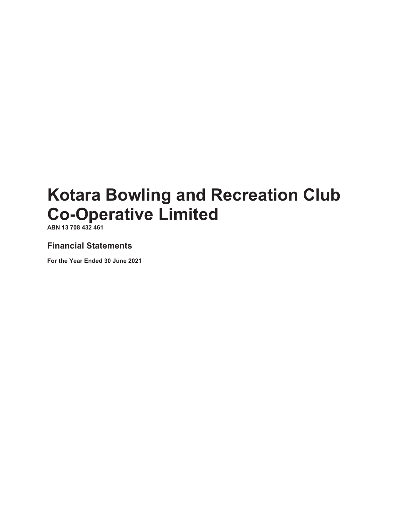**ABN 13 708 432 461**

### **Financial Statements**

**For the Year Ended 30 June 2021**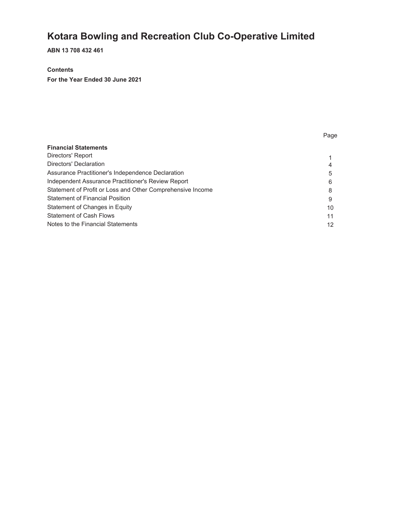**ABN 13 708 432 461**

#### **Contents**

**For the Year Ended 30 June 2021**

| <b>Financial Statements</b>                                |    |
|------------------------------------------------------------|----|
| Directors' Report                                          |    |
| Directors' Declaration                                     | 4  |
| Assurance Practitioner's Independence Declaration          | 5  |
| Independent Assurance Practitioner's Review Report         | 6  |
| Statement of Profit or Loss and Other Comprehensive Income | 8  |
| <b>Statement of Financial Position</b>                     | 9  |
| Statement of Changes in Equity                             | 10 |
| <b>Statement of Cash Flows</b>                             | 11 |
| Notes to the Financial Statements                          | 12 |
|                                                            |    |

Page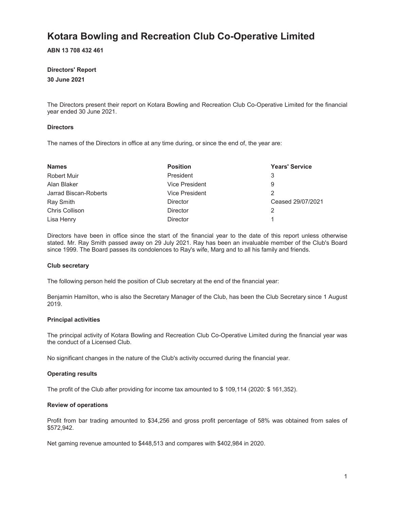**ABN 13 708 432 461**

#### **Directors' Report**

#### **30 June 2021**

The Directors present their report on Kotara Bowling and Recreation Club Co-Operative Limited for the financial year ended 30 June 2021.

#### **Directors**

The names of the Directors in office at any time during, or since the end of, the year are:

| <b>Names</b>          | <b>Position</b> | <b>Years' Service</b> |
|-----------------------|-----------------|-----------------------|
| Robert Muir           | President       | 3                     |
| Alan Blaker           | Vice President  | 9                     |
| Jarrad Biscan-Roberts | Vice President  |                       |
| Ray Smith             | Director        | Ceased 29/07/2021     |
| Chris Collison        | Director        |                       |
| Lisa Henry            | <b>Director</b> |                       |

Directors have been in office since the start of the financial year to the date of this report unless otherwise stated. Mr. Ray Smith passed away on 29 July 2021. Ray has been an invaluable member of the Club's Board since 1999. The Board passes its condolences to Ray's wife, Marg and to all his family and friends.

#### **Club secretary**

The following person held the position of Club secretary at the end of the financial year:

Benjamin Hamilton, who is also the Secretary Manager of the Club, has been the Club Secretary since 1 August 2019.

#### **Principal activities**

The principal activity of Kotara Bowling and Recreation Club Co-Operative Limited during the financial year was the conduct of a Licensed Club.

No significant changes in the nature of the Club's activity occurred during the financial year.

#### **Operating results**

The profit of the Club after providing for income tax amounted to \$ 109,114 (2020: \$ 161,352).

#### **Review of operations**

Profit from bar trading amounted to \$34,256 and gross profit percentage of 58% was obtained from sales of \$572,942.

Net gaming revenue amounted to \$448,513 and compares with \$402,984 in 2020.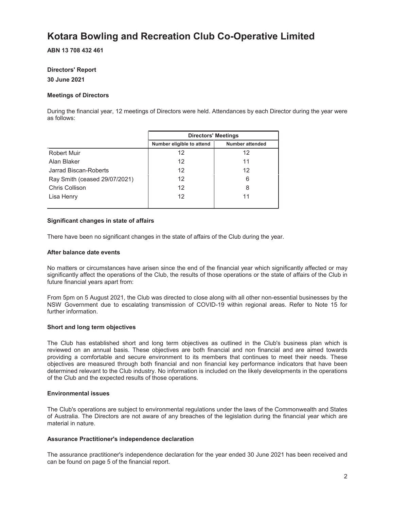#### **ABN 13 708 432 461**

### **Directors' Report**

#### **30 June 2021**

#### **Meetings of Directors**

During the financial year, 12 meetings of Directors were held. Attendances by each Director during the year were as follows:

|                               | <b>Directors' Meetings</b> |                 |  |
|-------------------------------|----------------------------|-----------------|--|
|                               | Number eligible to attend  | Number attended |  |
| Robert Muir                   | 12                         | 12              |  |
| Alan Blaker                   | 12                         | 11              |  |
| Jarrad Biscan-Roberts         | 12                         | 12              |  |
| Ray Smith (ceased 29/07/2021) | 12                         | 6               |  |
| Chris Collison                | 12                         | 8               |  |
| Lisa Henry                    | 12                         | 11              |  |
|                               |                            |                 |  |

#### **Significant changes in state of affairs**

There have been no significant changes in the state of affairs of the Club during the year.

#### **After balance date events**

No matters or circumstances have arisen since the end of the financial year which significantly affected or may significantly affect the operations of the Club, the results of those operations or the state of affairs of the Club in future financial years apart from:

From 5pm on 5 August 2021, the Club was directed to close along with all other non-essential businesses by the NSW Government due to escalating transmission of COVID-19 within regional areas. Refer to Note 15 for further information.

#### **Short and long term objectives**

The Club has established short and long term objectives as outlined in the Club's business plan which is reviewed on an annual basis. These objectives are both financial and non financial and are aimed towards providing a comfortable and secure environment to its members that continues to meet their needs. These objectives are measured through both financial and non financial key performance indicators that have been determined relevant to the Club industry. No information is included on the likely developments in the operations of the Club and the expected results of those operations.

#### **Environmental issues**

The Club's operations are subject to environmental regulations under the laws of the Commonwealth and States of Australia. The Directors are not aware of any breaches of the legislation during the financial year which are material in nature.

#### **Assurance Practitioner's independence declaration**

The assurance practitioner's independence declaration for the year ended 30 June 2021 has been received and can be found on page 5 of the financial report.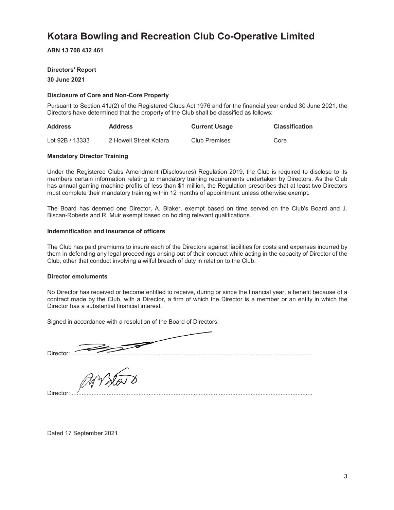**ABN 13 708 432 461**

#### **Directors' Report**

**30 June 2021**

#### **Disclosure of Core and Non-Core Property**

Pursuant to Section 41J(2) of the Registered Clubs Act 1976 and for the financial year ended 30 June 2021, the Directors have determined that the property of the Club shall be classified as follows:

| <b>Address</b>  | <b>Address</b>         | <b>Current Usage</b> | <b>Classification</b> |
|-----------------|------------------------|----------------------|-----------------------|
| Lot 92B / 13333 | 2 Howell Street Kotara | Club Premises        | Core                  |

#### **Mandatory Director Training**

Under the Registered Clubs Amendment (Disclosures) Regulation 2019, the Club is required to disclose to its members certain information relating to mandatory training requirements undertaken by Directors. As the Club has annual gaming machine profits of less than \$1 million, the Regulation prescribes that at least two Directors must complete their mandatory training within 12 months of appointment unless otherwise exempt.

The Board has deemed one Director, A. Blaker, exempt based on time served on the Club's Board and J. Biscan-Roberts and R. Muir exempt based on holding relevant qualifications.

#### **Indemnification and insurance of officers**

The Club has paid premiums to insure each of the Directors against liabilities for costs and expenses incurred by them in defending any legal proceedings arising out of their conduct while acting in the capacity of Director of the Club, other that conduct involving a wilful breach of duty in relation to the Club.

#### **Director emoluments**

No Director has received or become entitled to receive, during or since the financial year, a benefit because of a contract made by the Club, with a Director, a firm of which the Director is a member or an entity in which the Director has a substantial financial interest.

Signed in accordance with a resolution of the Board of Directors:

Director: ................................................................................................................................................

Arsta

Director: ................................................................................................................................................

Dated 17 September 2021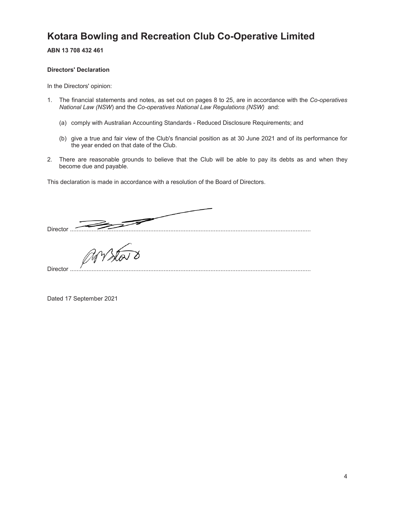**ABN 13 708 432 461**

#### **Directors' Declaration**

In the Directors' opinion:

- 1. The financial statements and notes, as set out on pages 8 to 25, are in accordance with the *Co-operatives National Law (NSW*) and the *Co-operatives National Law Regulations (NSW)* and:
	- (a) comply with Australian Accounting Standards Reduced Disclosure Requirements; and
	- (b) give a true and fair view of the Club's financial position as at 30 June 2021 and of its performance for the year ended on that date of the Club.
- 2. There are reasonable grounds to believe that the Club will be able to pay its debts as and when they become due and payable.

This declaration is made in accordance with a resolution of the Board of Directors.

Director ................................................................................................................................................

Director ................................................................................................................................................

Dated 17 September 2021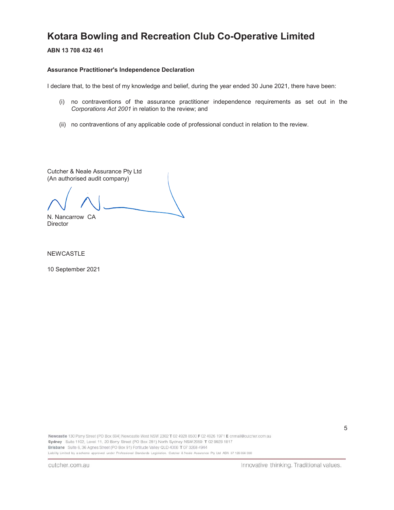**ABN 13 708 432 461**

#### **Assurance Practitioner's Independence Declaration**

I declare that, to the best of my knowledge and belief, during the year ended 30 June 2021, there have been:

- (i) no contraventions of the assurance practitioner independence requirements as set out in the *Corporations Act 2001* in relation to the review; and
- (ii) no contraventions of any applicable code of professional conduct in relation to the review.

Cutcher & Neale Assurance Pty Ltd (An authorised audit company)

N. Nancarrow CA

**Director** 

NEWCASTLE

10 September 2021

Newcastle 130 Parry Street (PO Box 694) Newcastle West NSW 2302 T 02 4928 8500 F 02 4926 1971 E cnmail@cutcher.com.au Sydney Suite 1102, Level 11, 20 Berry Street (PO Box 281) North Sydney NSW 2059 T 02 9923 1817 Brisbane Suite 6, 36 Agnes Street (PO Box 91) Fortitude Valley QLD 4006 T 07 3268 4944 Liability Limited by a scheme approved under Professional Standards Legislation. Cutcher & Neale Assurance Pty Ltd ABN 37 126556 330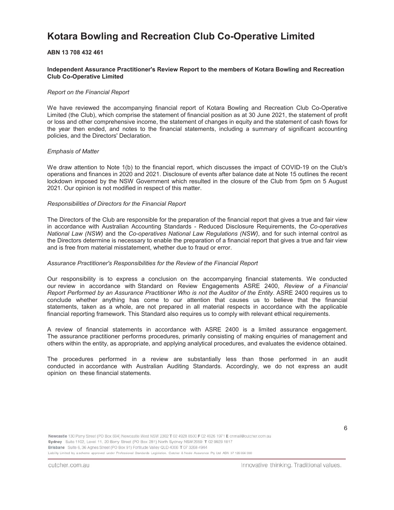#### **ABN 13 708 432 461**

#### **Independent Assurance Practitioner's Review Report to the members of Kotara Bowling and Recreation Club Co-Operative Limited**

#### *Report on the Financial Report*

We have reviewed the accompanying financial report of Kotara Bowling and Recreation Club Co-Operative Limited (the Club), which comprise the statement of financial position as at 30 June 2021, the statement of profit or loss and other comprehensive income, the statement of changes in equity and the statement of cash flows for the year then ended, and notes to the financial statements, including a summary of significant accounting policies, and the Directors' Declaration.

#### *Emphasis of Matter*

We draw attention to Note 1(b) to the financial report, which discusses the impact of COVID-19 on the Club's operations and finances in 2020 and 2021. Disclosure of events after balance date at Note 15 outlines the recent lockdown imposed by the NSW Government which resulted in the closure of the Club from 5pm on 5 August 2021. Our opinion is not modified in respect of this matter.

#### *Responsibilities of Directors for the Financial Report*

The Directors of the Club are responsible for the preparation of the financial report that gives a true and fair view in accordance with Australian Accounting Standards - Reduced Disclosure Requirements, the *Co-operatives National Law (NSW)* and the *Co-operatives National Law Regulations (NSW)*, and for such internal control as the Directors determine is necessary to enable the preparation of a financial report that gives a true and fair view and is free from material misstatement, whether due to fraud or error.

#### *Assurance Practitioner's Responsibilities for the Review of the Financial Report*

Our responsibility is to express a conclusion on the accompanying financial statements. We conducted our review in accordance with Standard on Review Engagements ASRE 2400, *Review of a Financial Report Performed by an Assurance Practitioner Who is not the Auditor of the Entity*. ASRE 2400 requires us to conclude whether anything has come to our attention that causes us to believe that the financial statements, taken as a whole, are not prepared in all material respects in accordance with the applicable financial reporting framework. This Standard also requires us to comply with relevant ethical requirements.

A review of financial statements in accordance with ASRE 2400 is a limited assurance engagement. The assurance practitioner performs procedures, primarily consisting of making enquiries of management and others within the entity, as appropriate, and applying analytical procedures, and evaluates the evidence obtained.

The procedures performed in a review are substantially less than those performed in an audit conducted in accordance with Australian Auditing Standards. Accordingly, we do not express an audit opinion on these financial statements.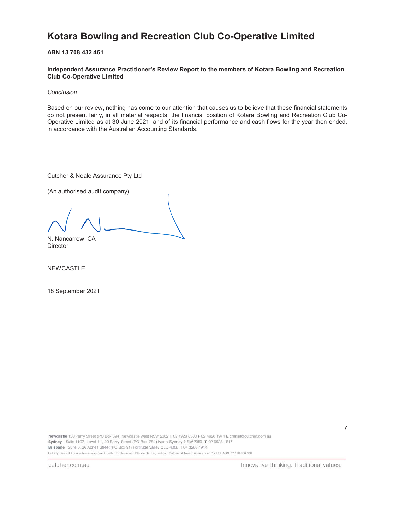**ABN 13 708 432 461**

**Independent Assurance Practitioner's Review Report to the members of Kotara Bowling and Recreation Club Co-Operative Limited**

*Conclusion*

Based on our review, nothing has come to our attention that causes us to believe that these financial statements do not present fairly, in all material respects, the financial position of Kotara Bowling and Recreation Club Co-Operative Limited as at 30 June 2021, and of its financial performance and cash flows for the year then ended, in accordance with the Australian Accounting Standards.

Cutcher & Neale Assurance Pty Ltd

(An authorised audit company)

N. Nancarrow CA **Director** 

NEWCASTLE

18 September 2021

Newcastle 130 Parry Street (PO Box 694) Newcastle West NSW 2302 T 02 4928 8500 F 02 4926 1971 E cnmail@cutcher.com.au Sydney Suite 1102, Level 11, 20 Berry Street (PO Box 281) North Sydney NSW 2059 T 02 9923 1817 Brisbane Suite 6, 36 Agnes Street (PO Box 91) Fortitude Valley QLD 4006 T 07 3268 4944 Liability Limited by a scheme approved under Professional Standards Legislation. Cutcher & Neale Assurance Pty Ltd ABN 37 126556 330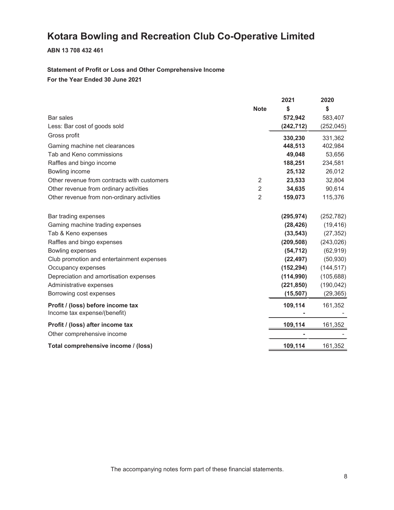#### **ABN 13 708 432 461**

#### **Statement of Profit or Loss and Other Comprehensive Income For the Year Ended 30 June 2021**

|                                             |                | 2021       | 2020       |
|---------------------------------------------|----------------|------------|------------|
|                                             | <b>Note</b>    | \$         | \$         |
| Bar sales                                   |                | 572,942    | 583,407    |
| Less: Bar cost of goods sold                |                | (242, 712) | (252, 045) |
| Gross profit                                |                | 330,230    | 331,362    |
| Gaming machine net clearances               |                | 448,513    | 402,984    |
| Tab and Keno commissions                    |                | 49,048     | 53,656     |
| Raffles and bingo income                    |                | 188,251    | 234,581    |
| Bowling income                              |                | 25,132     | 26,012     |
| Other revenue from contracts with customers | 2              | 23,533     | 32,804     |
| Other revenue from ordinary activities      | $\overline{2}$ | 34,635     | 90,614     |
| Other revenue from non-ordinary activities  | $\overline{2}$ | 159,073    | 115,376    |
| Bar trading expenses                        |                | (295, 974) | (252, 782) |
| Gaming machine trading expenses             |                | (28, 426)  | (19, 416)  |
| Tab & Keno expenses                         |                | (33, 543)  | (27, 352)  |
| Raffles and bingo expenses                  |                | (209, 508) | (243, 026) |
| Bowling expenses                            |                | (54, 712)  | (62, 919)  |
| Club promotion and entertainment expenses   |                | (22, 497)  | (50, 930)  |
| Occupancy expenses                          |                | (152, 294) | (144, 517) |
| Depreciation and amortisation expenses      |                | (114, 990) | (105, 688) |
| Administrative expenses                     |                | (221, 850) | (190, 042) |
| Borrowing cost expenses                     |                | (15, 507)  | (29, 365)  |
| Profit / (loss) before income tax           |                | 109,114    | 161,352    |
| Income tax expense/(benefit)                |                |            |            |
| Profit / (loss) after income tax            |                | 109,114    | 161,352    |
| Other comprehensive income                  |                |            |            |
| Total comprehensive income / (loss)         |                | 109,114    | 161,352    |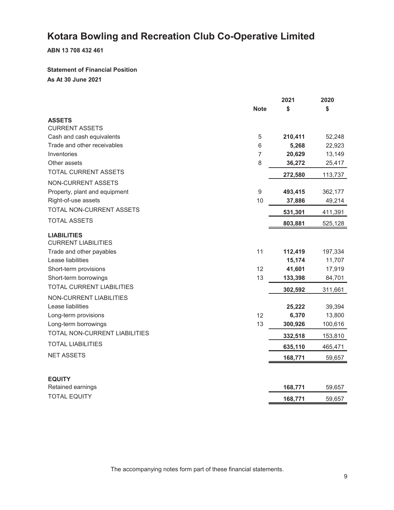**ABN 13 708 432 461**

### **Statement of Financial Position**

**As At 30 June 2021**

|                                      |                | 2021    | 2020    |
|--------------------------------------|----------------|---------|---------|
|                                      | <b>Note</b>    | \$      | \$      |
| <b>ASSETS</b>                        |                |         |         |
| <b>CURRENT ASSETS</b>                |                |         |         |
| Cash and cash equivalents            | 5              | 210,411 | 52,248  |
| Trade and other receivables          | 6              | 5,268   | 22,923  |
| Inventories                          | $\overline{7}$ | 20,629  | 13,149  |
| Other assets                         | 8              | 36,272  | 25,417  |
| <b>TOTAL CURRENT ASSETS</b>          |                | 272,580 | 113,737 |
| <b>NON-CURRENT ASSETS</b>            |                |         |         |
| Property, plant and equipment        | 9              | 493,415 | 362,177 |
| Right-of-use assets                  | 10             | 37,886  | 49,214  |
| TOTAL NON-CURRENT ASSETS             |                | 531,301 | 411,391 |
| <b>TOTAL ASSETS</b>                  |                | 803,881 | 525,128 |
| <b>LIABILITIES</b>                   |                |         |         |
| <b>CURRENT LIABILITIES</b>           |                |         |         |
| Trade and other payables             | 11             | 112,419 | 197,334 |
| Lease liabilities                    |                | 15,174  | 11,707  |
| Short-term provisions                | 12             | 41,601  | 17,919  |
| Short-term borrowings                | 13             | 133,398 | 84,701  |
| <b>TOTAL CURRENT LIABILITIES</b>     |                | 302,592 | 311,661 |
| <b>NON-CURRENT LIABILITIES</b>       |                |         |         |
| Lease liabilities                    |                | 25,222  | 39,394  |
| Long-term provisions                 | 12             | 6,370   | 13,800  |
| Long-term borrowings                 | 13             | 300,926 | 100,616 |
| <b>TOTAL NON-CURRENT LIABILITIES</b> |                | 332,518 | 153,810 |
| <b>TOTAL LIABILITIES</b>             |                | 635,110 | 465,471 |
| <b>NET ASSETS</b>                    |                | 168,771 | 59,657  |
|                                      |                |         |         |
| <b>EQUITY</b>                        |                |         |         |
| Retained earnings                    |                | 168,771 | 59,657  |
| <b>TOTAL EQUITY</b>                  |                | 168,771 | 59,657  |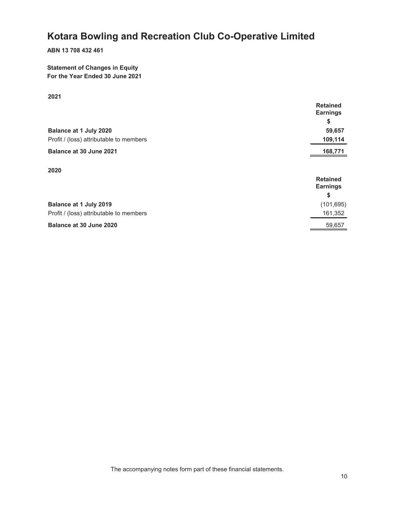#### **ABN 13 708 432 461**

#### **Statement of Changes in Equity For the Year Ended 30 June 2021**

#### **2021**

|                                         | <b>Retained</b><br><b>Earnings</b> |
|-----------------------------------------|------------------------------------|
|                                         | \$                                 |
| Balance at 1 July 2020                  | 59,657                             |
| Profit / (loss) attributable to members | 109,114                            |
| Balance at 30 June 2021                 | 168,771                            |
| 2020                                    | <b>Retained</b><br><b>Earnings</b> |
|                                         | \$                                 |
| Balance at 1 July 2019                  | (101, 695)                         |
| Profit / (loss) attributable to members | 161,352                            |
| Balance at 30 June 2020                 | 59,657                             |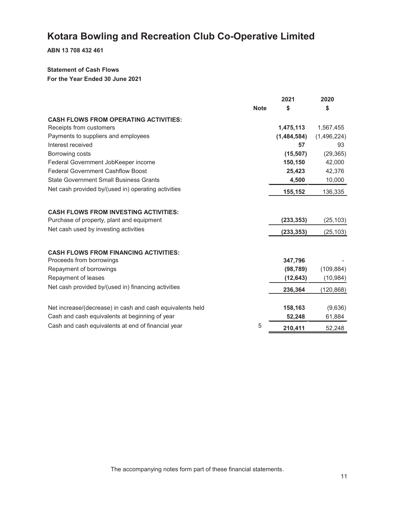**ABN 13 708 432 461**

#### **Statement of Cash Flows**

**For the Year Ended 30 June 2021**

|                                                           |             | 2021        | 2020        |
|-----------------------------------------------------------|-------------|-------------|-------------|
|                                                           | <b>Note</b> | \$          | \$          |
| <b>CASH FLOWS FROM OPERATING ACTIVITIES:</b>              |             |             |             |
| Receipts from customers                                   |             | 1,475,113   | 1,567,455   |
| Payments to suppliers and employees                       |             | (1,484,584) | (1,496,224) |
| Interest received                                         |             | 57          | 93          |
| Borrowing costs                                           |             | (15, 507)   | (29, 365)   |
| Federal Government JobKeeper income                       |             | 150,150     | 42,000      |
| <b>Federal Government Cashflow Boost</b>                  |             | 25,423      | 42,376      |
| <b>State Government Small Business Grants</b>             |             | 4,500       | 10,000      |
| Net cash provided by/(used in) operating activities       |             | 155,152     | 136,335     |
|                                                           |             |             |             |
| <b>CASH FLOWS FROM INVESTING ACTIVITIES:</b>              |             |             |             |
| Purchase of property, plant and equipment                 |             | (233, 353)  | (25, 103)   |
| Net cash used by investing activities                     |             | (233, 353)  | (25, 103)   |
|                                                           |             |             |             |
| <b>CASH FLOWS FROM FINANCING ACTIVITIES:</b>              |             |             |             |
| Proceeds from borrowings                                  |             | 347,796     |             |
| Repayment of borrowings                                   |             | (98, 789)   | (109, 884)  |
| Repayment of leases                                       |             | (12, 643)   | (10, 984)   |
| Net cash provided by/(used in) financing activities       |             | 236,364     | (120, 868)  |
|                                                           |             |             |             |
| Net increase/(decrease) in cash and cash equivalents held |             | 158,163     | (9,636)     |
| Cash and cash equivalents at beginning of year            |             | 52,248      | 61,884      |
| Cash and cash equivalents at end of financial year        | 5           | 210,411     | 52,248      |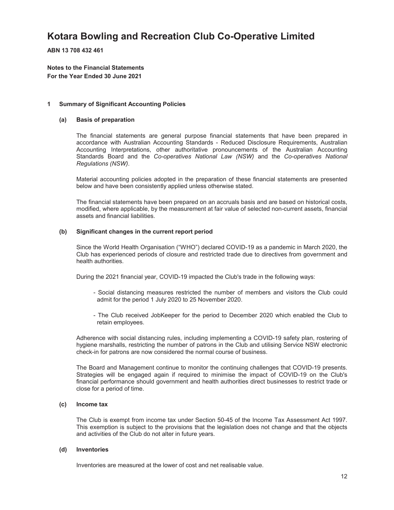**ABN 13 708 432 461**

**Notes to the Financial Statements For the Year Ended 30 June 2021**

#### **1 Summary of Significant Accounting Policies**

#### **(a) Basis of preparation**

The financial statements are general purpose financial statements that have been prepared in accordance with Australian Accounting Standards - Reduced Disclosure Requirements, Australian Accounting Interpretations, other authoritative pronouncements of the Australian Accounting Standards Board and the *Co-operatives National Law (NSW)* and the *Co-operatives National Regulations (NSW)*.

Material accounting policies adopted in the preparation of these financial statements are presented below and have been consistently applied unless otherwise stated.

The financial statements have been prepared on an accruals basis and are based on historical costs, modified, where applicable, by the measurement at fair value of selected non-current assets, financial assets and financial liabilities.

#### **(b) Significant changes in the current report period**

Since the World Health Organisation ("WHO") declared COVID-19 as a pandemic in March 2020, the Club has experienced periods of closure and restricted trade due to directives from government and health authorities.

During the 2021 financial year, COVID-19 impacted the Club's trade in the following ways:

- Social distancing measures restricted the number of members and visitors the Club could admit for the period 1 July 2020 to 25 November 2020.
- The Club received JobKeeper for the period to December 2020 which enabled the Club to retain employees.

Adherence with social distancing rules, including implementing a COVID-19 safety plan, rostering of hygiene marshalls, restricting the number of patrons in the Club and utilising Service NSW electronic check-in for patrons are now considered the normal course of business.

The Board and Management continue to monitor the continuing challenges that COVID-19 presents. Strategies will be engaged again if required to minimise the impact of COVID-19 on the Club's financial performance should government and health authorities direct businesses to restrict trade or close for a period of time.

#### **(c) Income tax**

The Club is exempt from income tax under Section 50-45 of the Income Tax Assessment Act 1997. This exemption is subject to the provisions that the legislation does not change and that the objects and activities of the Club do not alter in future years.

#### **(d) Inventories**

Inventories are measured at the lower of cost and net realisable value.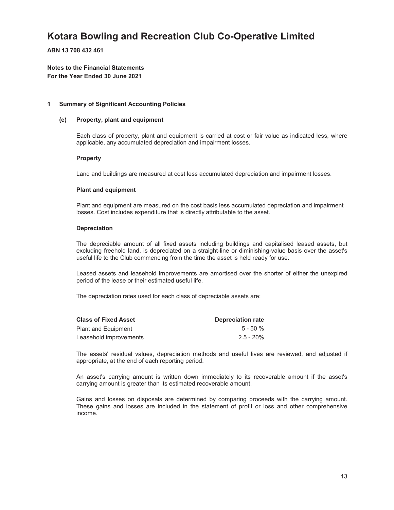**ABN 13 708 432 461**

**Notes to the Financial Statements For the Year Ended 30 June 2021**

#### **1 Summary of Significant Accounting Policies**

#### **(e) Property, plant and equipment**

Each class of property, plant and equipment is carried at cost or fair value as indicated less, where applicable, any accumulated depreciation and impairment losses.

#### **Property**

Land and buildings are measured at cost less accumulated depreciation and impairment losses.

#### **Plant and equipment**

Plant and equipment are measured on the cost basis less accumulated depreciation and impairment losses. Cost includes expenditure that is directly attributable to the asset.

#### **Depreciation**

The depreciable amount of all fixed assets including buildings and capitalised leased assets, but excluding freehold land, is depreciated on a straight-line or diminishing-value basis over the asset's useful life to the Club commencing from the time the asset is held ready for use.

Leased assets and leasehold improvements are amortised over the shorter of either the unexpired period of the lease or their estimated useful life.

The depreciation rates used for each class of depreciable assets are:

| <b>Class of Fixed Asset</b> | <b>Depreciation rate</b> |
|-----------------------------|--------------------------|
| Plant and Equipment         | $5 - 50 \%$              |
| Leasehold improvements      | $2.5 - 20\%$             |

The assets' residual values, depreciation methods and useful lives are reviewed, and adjusted if appropriate, at the end of each reporting period.

An asset's carrying amount is written down immediately to its recoverable amount if the asset's carrying amount is greater than its estimated recoverable amount.

Gains and losses on disposals are determined by comparing proceeds with the carrying amount. These gains and losses are included in the statement of profit or loss and other comprehensive income.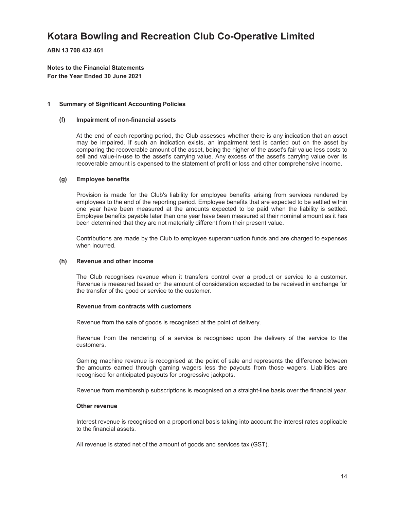**ABN 13 708 432 461**

**Notes to the Financial Statements For the Year Ended 30 June 2021**

#### **1 Summary of Significant Accounting Policies**

#### **(f) Impairment of non-financial assets**

At the end of each reporting period, the Club assesses whether there is any indication that an asset may be impaired. If such an indication exists, an impairment test is carried out on the asset by comparing the recoverable amount of the asset, being the higher of the asset's fair value less costs to sell and value-in-use to the asset's carrying value. Any excess of the asset's carrying value over its recoverable amount is expensed to the statement of profit or loss and other comprehensive income.

#### **(g) Employee benefits**

Provision is made for the Club's liability for employee benefits arising from services rendered by employees to the end of the reporting period. Employee benefits that are expected to be settled within one year have been measured at the amounts expected to be paid when the liability is settled. Employee benefits payable later than one year have been measured at their nominal amount as it has been determined that they are not materially different from their present value.

Contributions are made by the Club to employee superannuation funds and are charged to expenses when incurred.

#### **(h) Revenue and other income**

The Club recognises revenue when it transfers control over a product or service to a customer. Revenue is measured based on the amount of consideration expected to be received in exchange for the transfer of the good or service to the customer.

#### **Revenue from contracts with customers**

Revenue from the sale of goods is recognised at the point of delivery.

Revenue from the rendering of a service is recognised upon the delivery of the service to the customers.

Gaming machine revenue is recognised at the point of sale and represents the difference between the amounts earned through gaming wagers less the payouts from those wagers. Liabilities are recognised for anticipated payouts for progressive jackpots.

Revenue from membership subscriptions is recognised on a straight-line basis over the financial year.

#### **Other revenue**

Interest revenue is recognised on a proportional basis taking into account the interest rates applicable to the financial assets.

All revenue is stated net of the amount of goods and services tax (GST).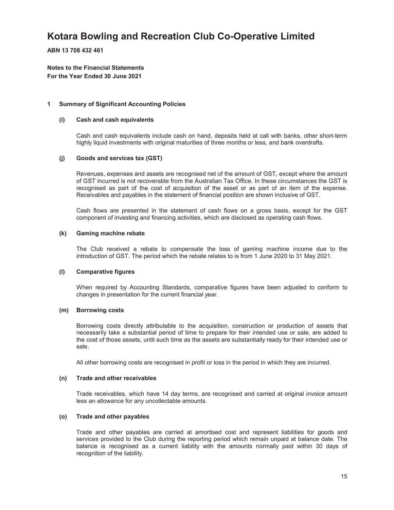**ABN 13 708 432 461**

**Notes to the Financial Statements For the Year Ended 30 June 2021**

#### **1 Summary of Significant Accounting Policies**

#### **(i) Cash and cash equivalents**

Cash and cash equivalents include cash on hand, deposits held at call with banks, other short-term highly liquid investments with original maturities of three months or less, and bank overdrafts.

#### **(j) Goods and services tax (GST)**

Revenues, expenses and assets are recognised net of the amount of GST, except where the amount of GST incurred is not recoverable from the Australian Tax Office. In these circumstances the GST is recognised as part of the cost of acquisition of the asset or as part of an item of the expense. Receivables and payables in the statement of financial position are shown inclusive of GST.

Cash flows are presented in the statement of cash flows on a gross basis, except for the GST component of investing and financing activities, which are disclosed as operating cash flows.

#### **(k) Gaming machine rebate**

The Club received a rebate to compensate the loss of gaming machine income due to the introduction of GST. The period which the rebate relates to is from 1 June 2020 to 31 May 2021.

#### **(l) Comparative figures**

When required by Accounting Standards, comparative figures have been adjusted to conform to changes in presentation for the current financial year.

#### **(m) Borrowing costs**

Borrowing costs directly attributable to the acquisition, construction or production of assets that necessarily take a substantial period of time to prepare for their intended use or sale, are added to the cost of those assets, until such time as the assets are substantially ready for their intended use or sale.

All other borrowing costs are recognised in profit or loss in the period in which they are incurred.

#### **(n) Trade and other receivables**

Trade receivables, which have 14 day terms, are recognised and carried at original invoice amount less an allowance for any uncollectable amounts.

#### **(o) Trade and other payables**

Trade and other payables are carried at amortised cost and represent liabilities for goods and services provided to the Club during the reporting period which remain unpaid at balance date. The balance is recognised as a current liability with the amounts normally paid within 30 days of recognition of the liability.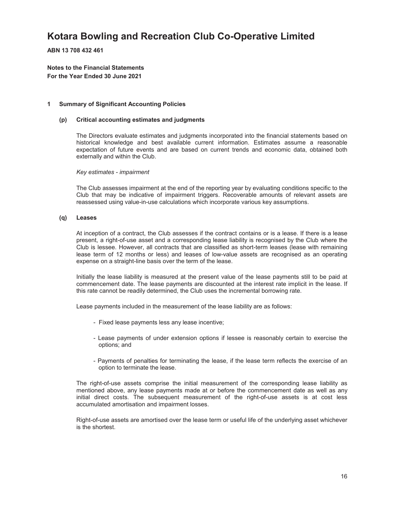**ABN 13 708 432 461**

**Notes to the Financial Statements For the Year Ended 30 June 2021**

#### **1 Summary of Significant Accounting Policies**

#### **(p) Critical accounting estimates and judgments**

The Directors evaluate estimates and judgments incorporated into the financial statements based on historical knowledge and best available current information. Estimates assume a reasonable expectation of future events and are based on current trends and economic data, obtained both externally and within the Club.

*Key estimates - impairment*

The Club assesses impairment at the end of the reporting year by evaluating conditions specific to the Club that may be indicative of impairment triggers. Recoverable amounts of relevant assets are reassessed using value-in-use calculations which incorporate various key assumptions.

#### **(q) Leases**

At inception of a contract, the Club assesses if the contract contains or is a lease. If there is a lease present, a right-of-use asset and a corresponding lease liability is recognised by the Club where the Club is lessee. However, all contracts that are classified as short-term leases (lease with remaining lease term of 12 months or less) and leases of low-value assets are recognised as an operating expense on a straight-line basis over the term of the lease.

Initially the lease liability is measured at the present value of the lease payments still to be paid at commencement date. The lease payments are discounted at the interest rate implicit in the lease. If this rate cannot be readily determined, the Club uses the incremental borrowing rate.

Lease payments included in the measurement of the lease liability are as follows:

- Fixed lease payments less any lease incentive;
- Lease payments of under extension options if lessee is reasonably certain to exercise the options; and
- Payments of penalties for terminating the lease, if the lease term reflects the exercise of an option to terminate the lease.

The right-of-use assets comprise the initial measurement of the corresponding lease liability as mentioned above, any lease payments made at or before the commencement date as well as any initial direct costs. The subsequent measurement of the right-of-use assets is at cost less accumulated amortisation and impairment losses.

Right-of-use assets are amortised over the lease term or useful life of the underlying asset whichever is the shortest.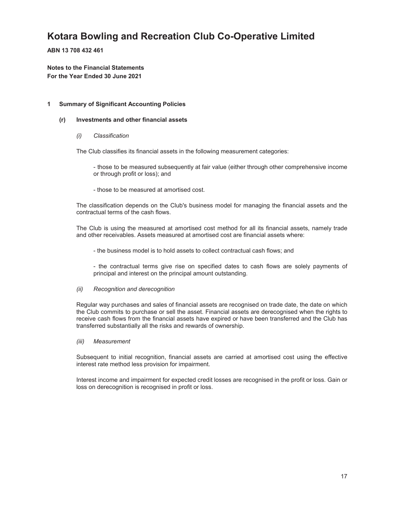**ABN 13 708 432 461**

**Notes to the Financial Statements For the Year Ended 30 June 2021**

#### **1 Summary of Significant Accounting Policies**

#### **(r) Investments and other financial assets**

*(i) Classification*

The Club classifies its financial assets in the following measurement categories:

- those to be measured subsequently at fair value (either through other comprehensive income or through profit or loss); and

- those to be measured at amortised cost.

The classification depends on the Club's business model for managing the financial assets and the contractual terms of the cash flows.

The Club is using the measured at amortised cost method for all its financial assets, namely trade and other receivables. Assets measured at amortised cost are financial assets where:

- the business model is to hold assets to collect contractual cash flows; and

- the contractual terms give rise on specified dates to cash flows are solely payments of principal and interest on the principal amount outstanding.

#### *(ii) Recognition and derecognition*

Regular way purchases and sales of financial assets are recognised on trade date, the date on which the Club commits to purchase or sell the asset. Financial assets are derecognised when the rights to receive cash flows from the financial assets have expired or have been transferred and the Club has transferred substantially all the risks and rewards of ownership.

*(iii) Measurement*

Subsequent to initial recognition, financial assets are carried at amortised cost using the effective interest rate method less provision for impairment.

Interest income and impairment for expected credit losses are recognised in the profit or loss. Gain or loss on derecognition is recognised in profit or loss.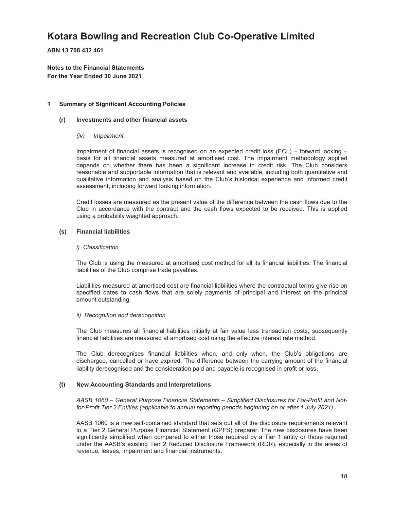**ABN 13 708 432 461**

**Notes to the Financial Statements For the Year Ended 30 June 2021**

#### **1 Summary of Significant Accounting Policies**

#### **(r) Investments and other financial assets**

#### *(iv) Impairment*

Impairment of financial assets is recognised on an expected credit loss (ECL) – forward looking – basis for all financial assets measured at amortised cost. The impairment methodology applied depends on whether there has been a significant increase in credit risk. The Club considers reasonable and supportable information that is relevant and available, including both quantitative and qualitative information and analysis based on the Club's historical experience and informed credit assessment, including forward looking information.

Credit losses are measured as the present value of the difference between the cash flows due to the Club in accordance with the contract and the cash flows expected to be received. This is applied using a probability weighted approach.

#### **(s) Financial liabilities**

#### *i) Classification*

The Club is using the measured at amortised cost method for all its financial liabilities. The financial liabilities of the Club comprise trade payables.

Liabilities measured at amortised cost are financial liabilities where the contractual terms give rise on specified dates to cash flows that are solely payments of principal and interest on the principal amount outstanding.

#### *ii) Recognition and derecognition*

The Club measures all financial liabilities initially at fair value less transaction costs, subsequently financial liabilities are measured at amortised cost using the effective interest rate method.

The Club derecognises financial liabilities when, and only when, the Club's obligations are discharged, cancelled or have expired. The difference between the carrying amount of the financial liability derecognised and the consideration paid and payable is recognised in profit or loss.

#### **(t) New Accounting Standards and Interpretations**

*AASB 1060 – General Purpose Financial Statements – Simplified Disclosures for For-Profit and Notfor-Profit Tier 2 Entities (applicable to annual reporting periods beginning on or after 1 July 2021)*

AASB 1060 is a new self-contained standard that sets out all of the disclosure requirements relevant to a Tier 2 General Purpose Financial Statement (GPFS) preparer. The new disclosures have been significantly simplified when compared to either those required by a Tier 1 entity or those required under the AASB's existing Tier 2 Reduced Disclosure Framework (RDR), especially in the areas of revenue, leases, impairment and financial instruments.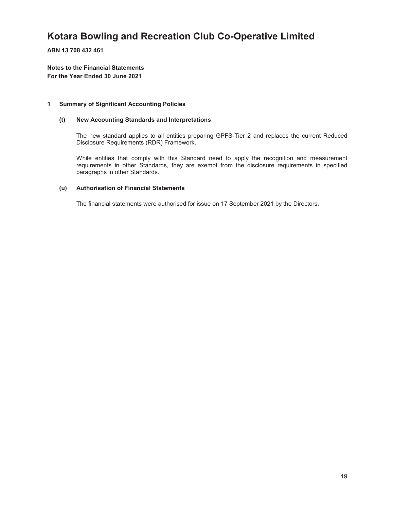**ABN 13 708 432 461**

**Notes to the Financial Statements For the Year Ended 30 June 2021**

#### **1 Summary of Significant Accounting Policies**

#### **(t) New Accounting Standards and Interpretations**

The new standard applies to all entities preparing GPFS-Tier 2 and replaces the current Reduced Disclosure Requirements (RDR) Framework.

While entities that comply with this Standard need to apply the recognition and measurement requirements in other Standards, they are exempt from the disclosure requirements in specified paragraphs in other Standards.

#### **(u) Authorisation of Financial Statements**

The financial statements were authorised for issue on 17 September 2021 by the Directors.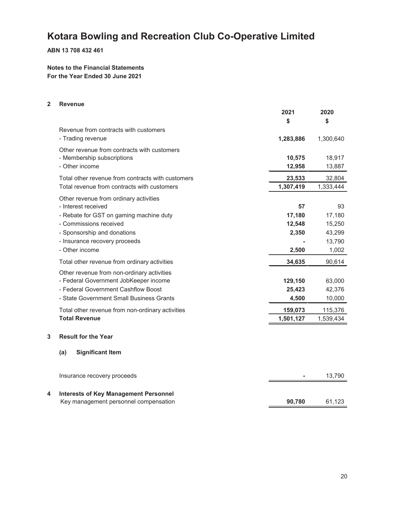**ABN 13 708 432 461**

**Notes to the Financial Statements For the Year Ended 30 June 2021**

#### **2 Revenue**

|   |                                                   | 2021      | 2020      |
|---|---------------------------------------------------|-----------|-----------|
|   |                                                   | \$        | \$        |
|   | Revenue from contracts with customers             |           |           |
|   | - Trading revenue                                 | 1,283,886 | 1,300,640 |
|   | Other revenue from contracts with customers       |           |           |
|   | - Membership subscriptions                        | 10,575    | 18,917    |
|   | - Other income                                    | 12,958    | 13,887    |
|   | Total other revenue from contracts with customers | 23,533    | 32,804    |
|   | Total revenue from contracts with customers       | 1,307,419 | 1,333,444 |
|   | Other revenue from ordinary activities            |           |           |
|   | - Interest received                               | 57        | 93        |
|   | - Rebate for GST on gaming machine duty           | 17,180    | 17,180    |
|   | - Commissions received                            | 12,548    | 15,250    |
|   | - Sponsorship and donations                       | 2,350     | 43,299    |
|   | - Insurance recovery proceeds                     |           | 13,790    |
|   | - Other income                                    | 2,500     | 1,002     |
|   | Total other revenue from ordinary activities      | 34,635    | 90,614    |
|   | Other revenue from non-ordinary activities        |           |           |
|   | - Federal Government JobKeeper income             | 129,150   | 63,000    |
|   | - Federal Government Cashflow Boost               | 25,423    | 42,376    |
|   | - State Government Small Business Grants          | 4,500     | 10,000    |
|   | Total other revenue from non-ordinary activities  | 159,073   | 115,376   |
|   | <b>Total Revenue</b>                              | 1,501,127 | 1,539,434 |
|   | <b>Result for the Year</b>                        |           |           |
| 3 |                                                   |           |           |
|   | (a)<br><b>Significant Item</b>                    |           |           |
|   |                                                   |           |           |
|   | Insurance recovery proceeds                       |           | 13,790    |
|   |                                                   |           |           |
| 4 | <b>Interests of Key Management Personnel</b>      |           |           |
|   | Key management personnel compensation             | 90,780    | 61,123    |
|   |                                                   |           |           |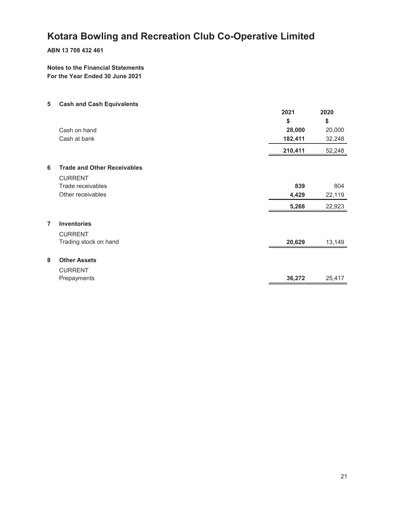#### **ABN 13 708 432 461**

#### **Notes to the Financial Statements For the Year Ended 30 June 2021**

| 5              | <b>Cash and Cash Equivalents</b>   |         |        |
|----------------|------------------------------------|---------|--------|
|                |                                    | 2021    | 2020   |
|                |                                    | \$      | \$     |
|                | Cash on hand                       | 28,000  | 20,000 |
|                | Cash at bank                       | 182,411 | 32,248 |
|                |                                    | 210,411 | 52,248 |
| 6              | <b>Trade and Other Receivables</b> |         |        |
|                | <b>CURRENT</b>                     |         |        |
|                | Trade receivables                  | 839     | 804    |
|                | Other receivables                  | 4,429   | 22,119 |
|                |                                    | 5,268   | 22,923 |
| $\overline{7}$ | <b>Inventories</b>                 |         |        |
|                | <b>CURRENT</b>                     |         |        |
|                | Trading stock on hand              | 20,629  | 13,149 |
| 8              | <b>Other Assets</b>                |         |        |
|                | <b>CURRENT</b>                     |         |        |
|                | Prepayments                        | 36,272  | 25,417 |
|                |                                    |         |        |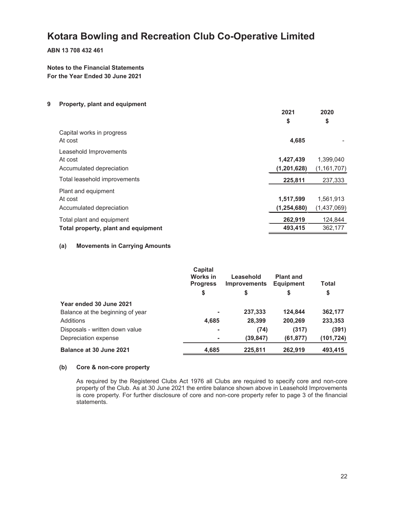**ABN 13 708 432 461**

**Notes to the Financial Statements For the Year Ended 30 June 2021**

#### **9 Property, plant and equipment**

|                                                                  | 2021<br>\$                 | 2020<br>\$                 |
|------------------------------------------------------------------|----------------------------|----------------------------|
| Capital works in progress<br>At cost                             | 4,685                      |                            |
| Leasehold Improvements<br>At cost<br>Accumulated depreciation    | 1,427,439<br>(1, 201, 628) | 1,399,040<br>(1, 161, 707) |
| Total leasehold improvements                                     | 225,811                    | 237,333                    |
| Plant and equipment<br>At cost<br>Accumulated depreciation       | 1,517,599<br>(1, 254, 680) | 1,561,913<br>(1,437,069)   |
| Total plant and equipment<br>Total property, plant and equipment | 262,919<br>493,415         | 124,844<br>362,177         |

#### **(a) Movements in Carrying Amounts**

|                                  | Capital<br>Works in<br><b>Progress</b><br>\$ | Leasehold<br><b>Improvements</b><br>\$ | <b>Plant and</b><br><b>Equipment</b><br>\$ | Total<br>\$ |
|----------------------------------|----------------------------------------------|----------------------------------------|--------------------------------------------|-------------|
| Year ended 30 June 2021          |                                              |                                        |                                            |             |
| Balance at the beginning of year |                                              | 237,333                                | 124,844                                    | 362,177     |
| Additions                        | 4,685                                        | 28,399                                 | 200,269                                    | 233,353     |
| Disposals - written down value   | -                                            | (74)                                   | (317)                                      | (391)       |
| Depreciation expense             |                                              | (39,847)                               | (61,877)                                   | (101, 724)  |
| Balance at 30 June 2021          | 4,685                                        | 225,811                                | 262,919                                    | 493,415     |

#### **(b) Core & non-core property**

As required by the Registered Clubs Act 1976 all Clubs are required to specify core and non-core property of the Club. As at 30 June 2021 the entire balance shown above in Leasehold Improvements is core property. For further disclosure of core and non-core property refer to page 3 of the financial statements.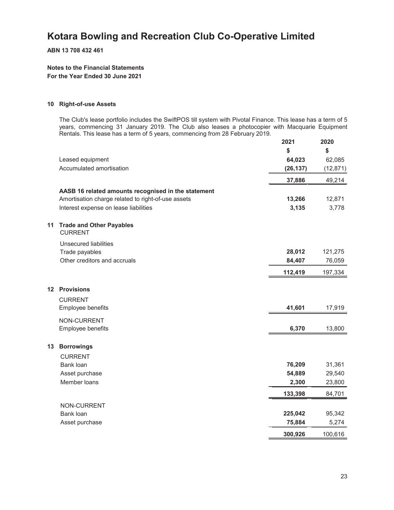**ABN 13 708 432 461**

#### **Notes to the Financial Statements For the Year Ended 30 June 2021**

#### **10 Right-of-use Assets**

The Club's lease portfolio includes the SwiftPOS till system with Pivotal Finance. This lease has a term of 5 years, commencing 31 January 2019. The Club also leases a photocopier with Macquarie Equipment Rentals. This lease has a term of 5 years, commencing from 28 February 2019.

|         |                                                     | 2021      | 2020      |
|---------|-----------------------------------------------------|-----------|-----------|
|         |                                                     | \$        | \$        |
|         | Leased equipment                                    | 64,023    | 62,085    |
|         | Accumulated amortisation                            | (26, 137) | (12, 871) |
|         |                                                     | 37,886    | 49,214    |
|         | AASB 16 related amounts recognised in the statement |           |           |
|         | Amortisation charge related to right-of-use assets  | 13,266    | 12,871    |
|         | Interest expense on lease liabilities               | 3,135     | 3,778     |
| 11      | <b>Trade and Other Payables</b><br><b>CURRENT</b>   |           |           |
|         | <b>Unsecured liabilities</b>                        |           |           |
|         | Trade payables                                      | 28,012    | 121,275   |
|         | Other creditors and accruals                        | 84,407    | 76,059    |
|         |                                                     | 112,419   | 197,334   |
| $12 \,$ | <b>Provisions</b>                                   |           |           |
|         | <b>CURRENT</b>                                      |           |           |
|         | Employee benefits                                   | 41,601    | 17,919    |
|         | NON-CURRENT                                         |           |           |
|         | Employee benefits                                   | 6,370     | 13,800    |
| 13      | <b>Borrowings</b>                                   |           |           |
|         | <b>CURRENT</b>                                      |           |           |
|         | Bank loan                                           | 76,209    | 31,361    |
|         | Asset purchase                                      | 54,889    | 29,540    |
|         | Member loans                                        | 2,300     | 23,800    |
|         |                                                     | 133,398   | 84,701    |
|         | NON-CURRENT                                         |           |           |
|         | Bank loan                                           | 225,042   | 95,342    |
|         | Asset purchase                                      | 75,884    | 5,274     |
|         |                                                     | 300,926   | 100,616   |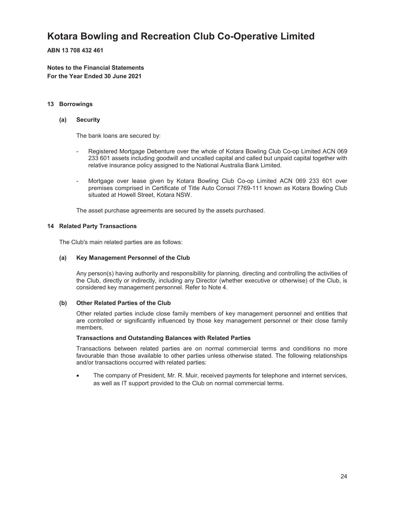**ABN 13 708 432 461**

**Notes to the Financial Statements For the Year Ended 30 June 2021**

#### **13 Borrowings**

#### **(a) Security**

The bank loans are secured by:

- Registered Mortgage Debenture over the whole of Kotara Bowling Club Co-op Limited ACN 069 233 601 assets including goodwill and uncalled capital and called but unpaid capital together with relative insurance policy assigned to the National Australia Bank Limited.
- Mortgage over lease given by Kotara Bowling Club Co-op Limited ACN 069 233 601 over premises comprised in Certificate of Title Auto Consol 7769-111 known as Kotara Bowling Club situated at Howell Street, Kotara NSW.

The asset purchase agreements are secured by the assets purchased.

#### **14 Related Party Transactions**

The Club's main related parties are as follows:

#### **(a) Key Management Personnel of the Club**

Any person(s) having authority and responsibility for planning, directing and controlling the activities of the Club, directly or indirectly, including any Director (whether executive or otherwise) of the Club, is considered key management personnel. Refer to Note 4.

#### **(b) Other Related Parties of the Club**

Other related parties include close family members of key management personnel and entities that are controlled or significantly influenced by those key management personnel or their close family members.

#### **Transactions and Outstanding Balances with Related Parties**

Transactions between related parties are on normal commercial terms and conditions no more favourable than those available to other parties unless otherwise stated. The following relationships and/or transactions occurred with related parties:

 The company of President, Mr. R. Muir, received payments for telephone and internet services, as well as IT support provided to the Club on normal commercial terms.